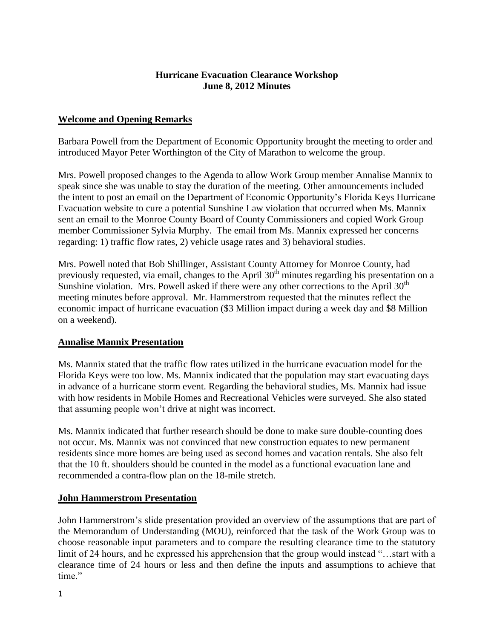#### **Hurricane Evacuation Clearance Workshop June 8, 2012 Minutes**

## **Welcome and Opening Remarks**

Barbara Powell from the Department of Economic Opportunity brought the meeting to order and introduced Mayor Peter Worthington of the City of Marathon to welcome the group.

Mrs. Powell proposed changes to the Agenda to allow Work Group member Annalise Mannix to speak since she was unable to stay the duration of the meeting. Other announcements included the intent to post an email on the Department of Economic Opportunity's Florida Keys Hurricane Evacuation website to cure a potential Sunshine Law violation that occurred when Ms. Mannix sent an email to the Monroe County Board of County Commissioners and copied Work Group member Commissioner Sylvia Murphy. The email from Ms. Mannix expressed her concerns regarding: 1) traffic flow rates, 2) vehicle usage rates and 3) behavioral studies.

Mrs. Powell noted that Bob Shillinger, Assistant County Attorney for Monroe County, had previously requested, via email, changes to the April  $30<sup>th</sup>$  minutes regarding his presentation on a Sunshine violation. Mrs. Powell asked if there were any other corrections to the April  $30<sup>th</sup>$ meeting minutes before approval. Mr. Hammerstrom requested that the minutes reflect the economic impact of hurricane evacuation (\$3 Million impact during a week day and \$8 Million on a weekend).

#### **Annalise Mannix Presentation**

Ms. Mannix stated that the traffic flow rates utilized in the hurricane evacuation model for the Florida Keys were too low. Ms. Mannix indicated that the population may start evacuating days in advance of a hurricane storm event. Regarding the behavioral studies, Ms. Mannix had issue with how residents in Mobile Homes and Recreational Vehicles were surveyed. She also stated that assuming people won't drive at night was incorrect.

Ms. Mannix indicated that further research should be done to make sure double-counting does not occur. Ms. Mannix was not convinced that new construction equates to new permanent residents since more homes are being used as second homes and vacation rentals. She also felt that the 10 ft. shoulders should be counted in the model as a functional evacuation lane and recommended a contra-flow plan on the 18-mile stretch.

#### **John Hammerstrom Presentation**

John Hammerstrom's slide presentation provided an overview of the assumptions that are part of the Memorandum of Understanding (MOU), reinforced that the task of the Work Group was to choose reasonable input parameters and to compare the resulting clearance time to the statutory limit of 24 hours, and he expressed his apprehension that the group would instead "…start with a clearance time of 24 hours or less and then define the inputs and assumptions to achieve that time."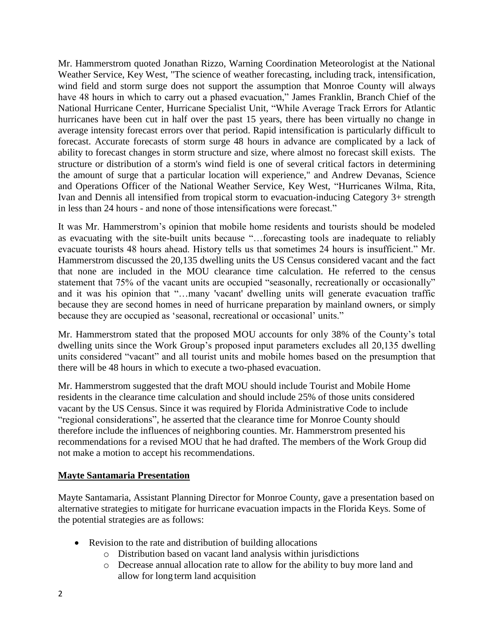Mr. Hammerstrom quoted Jonathan Rizzo, Warning Coordination Meteorologist at the National Weather Service, Key West, "The science of weather forecasting, including track, intensification, wind field and storm surge does not support the assumption that Monroe County will always have 48 hours in which to carry out a phased evacuation," James Franklin, Branch Chief of the National Hurricane Center, Hurricane Specialist Unit, "While Average Track Errors for Atlantic hurricanes have been cut in half over the past 15 years, there has been virtually no change in average intensity forecast errors over that period. Rapid intensification is particularly difficult to forecast. Accurate forecasts of storm surge 48 hours in advance are complicated by a lack of ability to forecast changes in storm structure and size, where almost no forecast skill exists. The structure or distribution of a storm's wind field is one of several critical factors in determining the amount of surge that a particular location will experience," and Andrew Devanas, Science and Operations Officer of the National Weather Service, Key West, "Hurricanes Wilma, Rita, Ivan and Dennis all intensified from tropical storm to evacuation-inducing Category 3+ strength in less than 24 hours - and none of those intensifications were forecast."

It was Mr. Hammerstrom's opinion that mobile home residents and tourists should be modeled as evacuating with the site-built units because "…forecasting tools are inadequate to reliably evacuate tourists 48 hours ahead. History tells us that sometimes 24 hours is insufficient." Mr. Hammerstrom discussed the 20,135 dwelling units the US Census considered vacant and the fact that none are included in the MOU clearance time calculation. He referred to the census statement that 75% of the vacant units are occupied "seasonally, recreationally or occasionally" and it was his opinion that "…many 'vacant' dwelling units will generate evacuation traffic because they are second homes in need of hurricane preparation by mainland owners, or simply because they are occupied as 'seasonal, recreational or occasional' units."

Mr. Hammerstrom stated that the proposed MOU accounts for only 38% of the County's total dwelling units since the Work Group's proposed input parameters excludes all 20,135 dwelling units considered "vacant" and all tourist units and mobile homes based on the presumption that there will be 48 hours in which to execute a two-phased evacuation.

Mr. Hammerstrom suggested that the draft MOU should include Tourist and Mobile Home residents in the clearance time calculation and should include 25% of those units considered vacant by the US Census. Since it was required by Florida Administrative Code to include "regional considerations", he asserted that the clearance time for Monroe County should therefore include the influences of neighboring counties. Mr. Hammerstrom presented his recommendations for a revised MOU that he had drafted. The members of the Work Group did not make a motion to accept his recommendations.

## **Mayte Santamaria Presentation**

Mayte Santamaria, Assistant Planning Director for Monroe County, gave a presentation based on alternative strategies to mitigate for hurricane evacuation impacts in the Florida Keys. Some of the potential strategies are as follows:

- Revision to the rate and distribution of building allocations
	- o Distribution based on vacant land analysis within jurisdictions
	- o Decrease annual allocation rate to allow for the ability to buy more land and allow for long term land acquisition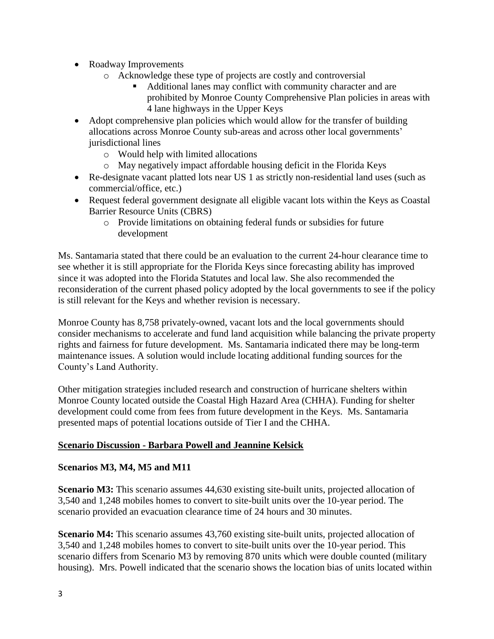- Roadway Improvements
	- o Acknowledge these type of projects are costly and controversial
		- Additional lanes may conflict with community character and are prohibited by Monroe County Comprehensive Plan policies in areas with 4 lane highways in the Upper Keys
- Adopt comprehensive plan policies which would allow for the transfer of building allocations across Monroe County sub-areas and across other local governments' jurisdictional lines
	- o Would help with limited allocations
	- o May negatively impact affordable housing deficit in the Florida Keys
- Re-designate vacant platted lots near US 1 as strictly non-residential land uses (such as commercial/office, etc.)
- Request federal government designate all eligible vacant lots within the Keys as Coastal Barrier Resource Units (CBRS)
	- o Provide limitations on obtaining federal funds or subsidies for future development

Ms. Santamaria stated that there could be an evaluation to the current 24-hour clearance time to see whether it is still appropriate for the Florida Keys since forecasting ability has improved since it was adopted into the Florida Statutes and local law. She also recommended the reconsideration of the current phased policy adopted by the local governments to see if the policy is still relevant for the Keys and whether revision is necessary.

Monroe County has 8,758 privately-owned, vacant lots and the local governments should consider mechanisms to accelerate and fund land acquisition while balancing the private property rights and fairness for future development. Ms. Santamaria indicated there may be long-term maintenance issues. A solution would include locating additional funding sources for the County's Land Authority.

Other mitigation strategies included research and construction of hurricane shelters within Monroe County located outside the Coastal High Hazard Area (CHHA). Funding for shelter development could come from fees from future development in the Keys. Ms. Santamaria presented maps of potential locations outside of Tier I and the CHHA.

## **Scenario Discussion - Barbara Powell and Jeannine Kelsick**

## **Scenarios M3, M4, M5 and M11**

**Scenario M3:** This scenario assumes 44,630 existing site-built units, projected allocation of 3,540 and 1,248 mobiles homes to convert to site-built units over the 10-year period. The scenario provided an evacuation clearance time of 24 hours and 30 minutes.

**Scenario M4:** This scenario assumes 43,760 existing site-built units, projected allocation of 3,540 and 1,248 mobiles homes to convert to site-built units over the 10-year period. This scenario differs from Scenario M3 by removing 870 units which were double counted (military housing). Mrs. Powell indicated that the scenario shows the location bias of units located within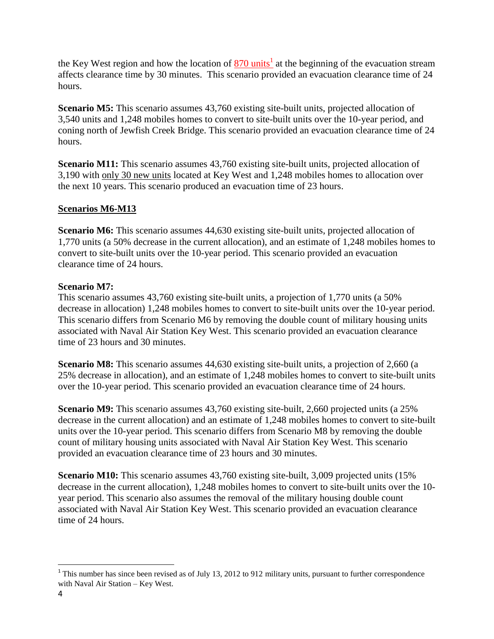the Key West region and how the location of  $\frac{870 \text{ units}^1}{2}$  at the beginning of the evacuation stream affects clearance time by 30 minutes. This scenario provided an evacuation clearance time of 24 hours.

**Scenario M5:** This scenario assumes 43,760 existing site-built units, projected allocation of 3,540 units and 1,248 mobiles homes to convert to site-built units over the 10-year period, and coning north of Jewfish Creek Bridge. This scenario provided an evacuation clearance time of 24 hours.

**Scenario M11:** This scenario assumes 43,760 existing site-built units, projected allocation of 3,190 with only 30 new units located at Key West and 1,248 mobiles homes to allocation over the next 10 years. This scenario produced an evacuation time of 23 hours.

# **Scenarios M6-M13**

**Scenario M6:** This scenario assumes 44,630 existing site-built units, projected allocation of 1,770 units (a 50% decrease in the current allocation), and an estimate of 1,248 mobiles homes to convert to site-built units over the 10-year period. This scenario provided an evacuation clearance time of 24 hours.

## **Scenario M7:**

This scenario assumes 43,760 existing site-built units, a projection of 1,770 units (a 50% decrease in allocation) 1,248 mobiles homes to convert to site-built units over the 10-year period. This scenario differs from Scenario M6 by removing the double count of military housing units associated with Naval Air Station Key West. This scenario provided an evacuation clearance time of 23 hours and 30 minutes.

**Scenario M8:** This scenario assumes 44,630 existing site-built units, a projection of 2,660 (a 25% decrease in allocation), and an estimate of 1,248 mobiles homes to convert to site-built units over the 10-year period. This scenario provided an evacuation clearance time of 24 hours.

**Scenario M9:** This scenario assumes 43,760 existing site-built, 2,660 projected units (a 25%) decrease in the current allocation) and an estimate of 1,248 mobiles homes to convert to site-built units over the 10-year period. This scenario differs from Scenario M8 by removing the double count of military housing units associated with Naval Air Station Key West. This scenario provided an evacuation clearance time of 23 hours and 30 minutes.

**Scenario M10:** This scenario assumes 43,760 existing site-built, 3,009 projected units (15%) decrease in the current allocation), 1,248 mobiles homes to convert to site-built units over the 10 year period. This scenario also assumes the removal of the military housing double count associated with Naval Air Station Key West. This scenario provided an evacuation clearance time of 24 hours.

 $\overline{a}$ 

 $1$ <sup>1</sup> This number has since been revised as of July 13, 2012 to 912 military units, pursuant to further correspondence with Naval Air Station – Key West.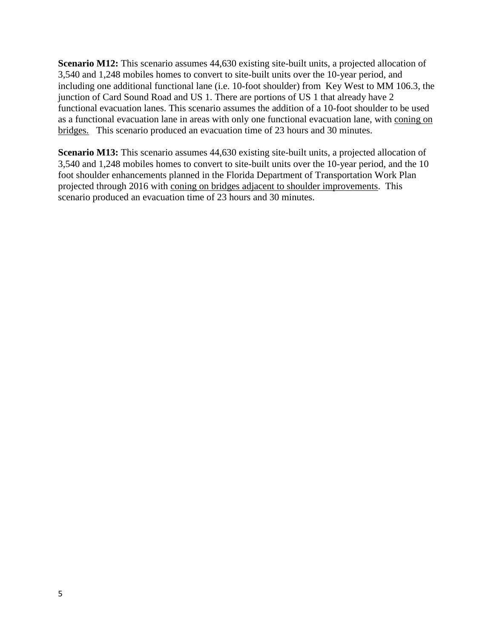**Scenario M12:** This scenario assumes 44,630 existing site-built units, a projected allocation of 3,540 and 1,248 mobiles homes to convert to site-built units over the 10-year period, and including one additional functional lane (i.e. 10-foot shoulder) from Key West to MM 106.3, the junction of Card Sound Road and US 1. There are portions of US 1 that already have 2 functional evacuation lanes. This scenario assumes the addition of a 10-foot shoulder to be used as a functional evacuation lane in areas with only one functional evacuation lane, with coning on bridges. This scenario produced an evacuation time of 23 hours and 30 minutes.

**Scenario M13:** This scenario assumes 44,630 existing site-built units, a projected allocation of 3,540 and 1,248 mobiles homes to convert to site-built units over the 10-year period, and the 10 foot shoulder enhancements planned in the Florida Department of Transportation Work Plan projected through 2016 with coning on bridges adjacent to shoulder improvements. This scenario produced an evacuation time of 23 hours and 30 minutes.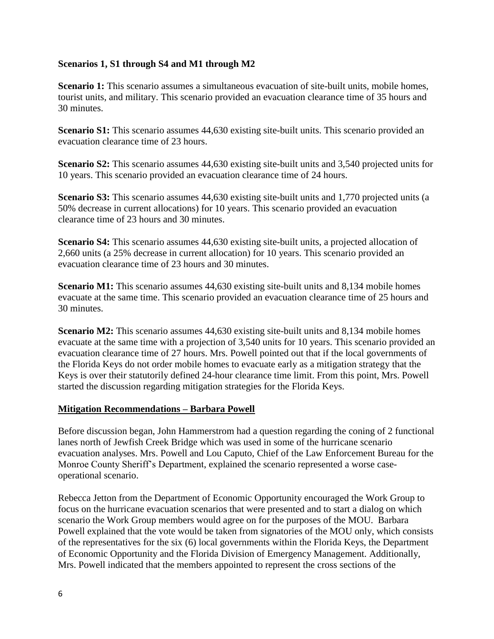#### **Scenarios 1, S1 through S4 and M1 through M2**

**Scenario 1:** This scenario assumes a simultaneous evacuation of site-built units, mobile homes, tourist units, and military. This scenario provided an evacuation clearance time of 35 hours and 30 minutes.

**Scenario S1:** This scenario assumes 44,630 existing site-built units. This scenario provided an evacuation clearance time of 23 hours.

**Scenario S2:** This scenario assumes 44,630 existing site-built units and 3,540 projected units for 10 years. This scenario provided an evacuation clearance time of 24 hours.

**Scenario S3:** This scenario assumes 44,630 existing site-built units and 1,770 projected units (a 50% decrease in current allocations) for 10 years. This scenario provided an evacuation clearance time of 23 hours and 30 minutes.

**Scenario S4:** This scenario assumes 44,630 existing site-built units, a projected allocation of 2,660 units (a 25% decrease in current allocation) for 10 years. This scenario provided an evacuation clearance time of 23 hours and 30 minutes.

**Scenario M1:** This scenario assumes 44,630 existing site-built units and 8,134 mobile homes evacuate at the same time. This scenario provided an evacuation clearance time of 25 hours and 30 minutes.

**Scenario M2:** This scenario assumes 44,630 existing site-built units and 8,134 mobile homes evacuate at the same time with a projection of 3,540 units for 10 years. This scenario provided an evacuation clearance time of 27 hours. Mrs. Powell pointed out that if the local governments of the Florida Keys do not order mobile homes to evacuate early as a mitigation strategy that the Keys is over their statutorily defined 24-hour clearance time limit. From this point, Mrs. Powell started the discussion regarding mitigation strategies for the Florida Keys.

#### **Mitigation Recommendations – Barbara Powell**

Before discussion began, John Hammerstrom had a question regarding the coning of 2 functional lanes north of Jewfish Creek Bridge which was used in some of the hurricane scenario evacuation analyses. Mrs. Powell and Lou Caputo, Chief of the Law Enforcement Bureau for the Monroe County Sheriff's Department, explained the scenario represented a worse caseoperational scenario.

Rebecca Jetton from the Department of Economic Opportunity encouraged the Work Group to focus on the hurricane evacuation scenarios that were presented and to start a dialog on which scenario the Work Group members would agree on for the purposes of the MOU. Barbara Powell explained that the vote would be taken from signatories of the MOU only, which consists of the representatives for the six (6) local governments within the Florida Keys, the Department of Economic Opportunity and the Florida Division of Emergency Management. Additionally, Mrs. Powell indicated that the members appointed to represent the cross sections of the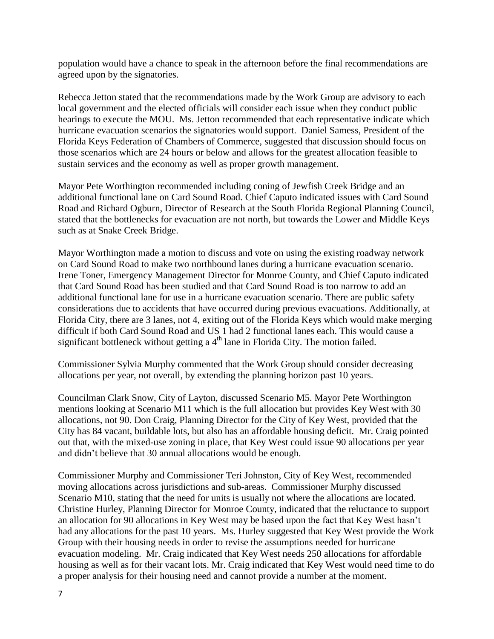population would have a chance to speak in the afternoon before the final recommendations are agreed upon by the signatories.

Rebecca Jetton stated that the recommendations made by the Work Group are advisory to each local government and the elected officials will consider each issue when they conduct public hearings to execute the MOU. Ms. Jetton recommended that each representative indicate which hurricane evacuation scenarios the signatories would support. Daniel Samess, President of the Florida Keys Federation of Chambers of Commerce, suggested that discussion should focus on those scenarios which are 24 hours or below and allows for the greatest allocation feasible to sustain services and the economy as well as proper growth management.

Mayor Pete Worthington recommended including coning of Jewfish Creek Bridge and an additional functional lane on Card Sound Road. Chief Caputo indicated issues with Card Sound Road and Richard Ogburn, Director of Research at the South Florida Regional Planning Council, stated that the bottlenecks for evacuation are not north, but towards the Lower and Middle Keys such as at Snake Creek Bridge.

Mayor Worthington made a motion to discuss and vote on using the existing roadway network on Card Sound Road to make two northbound lanes during a hurricane evacuation scenario. Irene Toner, Emergency Management Director for Monroe County, and Chief Caputo indicated that Card Sound Road has been studied and that Card Sound Road is too narrow to add an additional functional lane for use in a hurricane evacuation scenario. There are public safety considerations due to accidents that have occurred during previous evacuations. Additionally, at Florida City, there are 3 lanes, not 4, exiting out of the Florida Keys which would make merging difficult if both Card Sound Road and US 1 had 2 functional lanes each. This would cause a significant bottleneck without getting a  $4<sup>th</sup>$  lane in Florida City. The motion failed.

Commissioner Sylvia Murphy commented that the Work Group should consider decreasing allocations per year, not overall, by extending the planning horizon past 10 years.

Councilman Clark Snow, City of Layton, discussed Scenario M5. Mayor Pete Worthington mentions looking at Scenario M11 which is the full allocation but provides Key West with 30 allocations, not 90. Don Craig, Planning Director for the City of Key West, provided that the City has 84 vacant, buildable lots, but also has an affordable housing deficit. Mr. Craig pointed out that, with the mixed-use zoning in place, that Key West could issue 90 allocations per year and didn't believe that 30 annual allocations would be enough.

Commissioner Murphy and Commissioner Teri Johnston, City of Key West, recommended moving allocations across jurisdictions and sub-areas. Commissioner Murphy discussed Scenario M10, stating that the need for units is usually not where the allocations are located. Christine Hurley, Planning Director for Monroe County, indicated that the reluctance to support an allocation for 90 allocations in Key West may be based upon the fact that Key West hasn't had any allocations for the past 10 years. Ms. Hurley suggested that Key West provide the Work Group with their housing needs in order to revise the assumptions needed for hurricane evacuation modeling. Mr. Craig indicated that Key West needs 250 allocations for affordable housing as well as for their vacant lots. Mr. Craig indicated that Key West would need time to do a proper analysis for their housing need and cannot provide a number at the moment.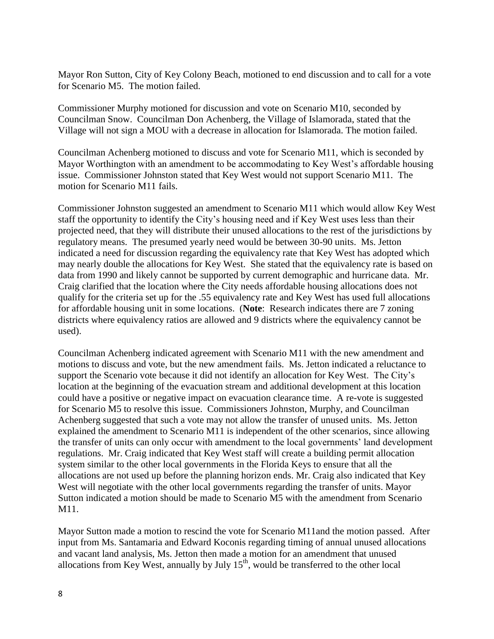Mayor Ron Sutton, City of Key Colony Beach, motioned to end discussion and to call for a vote for Scenario M5. The motion failed.

Commissioner Murphy motioned for discussion and vote on Scenario M10, seconded by Councilman Snow. Councilman Don Achenberg, the Village of Islamorada, stated that the Village will not sign a MOU with a decrease in allocation for Islamorada. The motion failed.

Councilman Achenberg motioned to discuss and vote for Scenario M11, which is seconded by Mayor Worthington with an amendment to be accommodating to Key West's affordable housing issue. Commissioner Johnston stated that Key West would not support Scenario M11. The motion for Scenario M11 fails.

Commissioner Johnston suggested an amendment to Scenario M11 which would allow Key West staff the opportunity to identify the City's housing need and if Key West uses less than their projected need, that they will distribute their unused allocations to the rest of the jurisdictions by regulatory means. The presumed yearly need would be between 30-90 units. Ms. Jetton indicated a need for discussion regarding the equivalency rate that Key West has adopted which may nearly double the allocations for Key West. She stated that the equivalency rate is based on data from 1990 and likely cannot be supported by current demographic and hurricane data. Mr. Craig clarified that the location where the City needs affordable housing allocations does not qualify for the criteria set up for the .55 equivalency rate and Key West has used full allocations for affordable housing unit in some locations. (**Note**: Research indicates there are 7 zoning districts where equivalency ratios are allowed and 9 districts where the equivalency cannot be used).

Councilman Achenberg indicated agreement with Scenario M11 with the new amendment and motions to discuss and vote, but the new amendment fails. Ms. Jetton indicated a reluctance to support the Scenario vote because it did not identify an allocation for Key West. The City's location at the beginning of the evacuation stream and additional development at this location could have a positive or negative impact on evacuation clearance time. A re-vote is suggested for Scenario M5 to resolve this issue. Commissioners Johnston, Murphy, and Councilman Achenberg suggested that such a vote may not allow the transfer of unused units. Ms. Jetton explained the amendment to Scenario M11 is independent of the other scenarios, since allowing the transfer of units can only occur with amendment to the local governments' land development regulations. Mr. Craig indicated that Key West staff will create a building permit allocation system similar to the other local governments in the Florida Keys to ensure that all the allocations are not used up before the planning horizon ends. Mr. Craig also indicated that Key West will negotiate with the other local governments regarding the transfer of units. Mayor Sutton indicated a motion should be made to Scenario M5 with the amendment from Scenario M11.

Mayor Sutton made a motion to rescind the vote for Scenario M11and the motion passed. After input from Ms. Santamaria and Edward Koconis regarding timing of annual unused allocations and vacant land analysis, Ms. Jetton then made a motion for an amendment that unused allocations from Key West, annually by July  $15<sup>th</sup>$ , would be transferred to the other local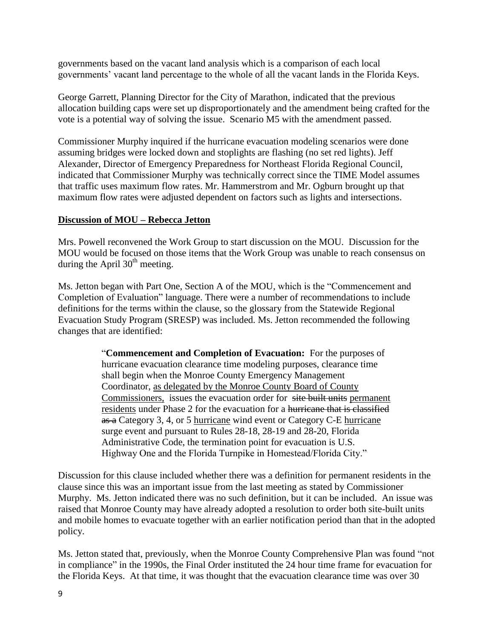governments based on the vacant land analysis which is a comparison of each local governments' vacant land percentage to the whole of all the vacant lands in the Florida Keys.

George Garrett, Planning Director for the City of Marathon, indicated that the previous allocation building caps were set up disproportionately and the amendment being crafted for the vote is a potential way of solving the issue. Scenario M5 with the amendment passed.

Commissioner Murphy inquired if the hurricane evacuation modeling scenarios were done assuming bridges were locked down and stoplights are flashing (no set red lights). Jeff Alexander, Director of Emergency Preparedness for Northeast Florida Regional Council, indicated that Commissioner Murphy was technically correct since the TIME Model assumes that traffic uses maximum flow rates. Mr. Hammerstrom and Mr. Ogburn brought up that maximum flow rates were adjusted dependent on factors such as lights and intersections.

#### **Discussion of MOU – Rebecca Jetton**

Mrs. Powell reconvened the Work Group to start discussion on the MOU. Discussion for the MOU would be focused on those items that the Work Group was unable to reach consensus on during the April  $30<sup>th</sup>$  meeting.

Ms. Jetton began with Part One, Section A of the MOU, which is the "Commencement and Completion of Evaluation" language. There were a number of recommendations to include definitions for the terms within the clause, so the glossary from the Statewide Regional Evacuation Study Program (SRESP) was included. Ms. Jetton recommended the following changes that are identified:

> "**Commencement and Completion of Evacuation:** For the purposes of hurricane evacuation clearance time modeling purposes, clearance time shall begin when the Monroe County Emergency Management Coordinator, as delegated by the Monroe County Board of County Commissioners, issues the evacuation order for site built units permanent residents under Phase 2 for the evacuation for a <del>hurricane that is classified</del> as a Category 3, 4, or 5 hurricane wind event or Category C-E hurricane surge event and pursuant to Rules 28-18, 28-19 and 28-20, Florida Administrative Code, the termination point for evacuation is U.S. Highway One and the Florida Turnpike in Homestead/Florida City."

Discussion for this clause included whether there was a definition for permanent residents in the clause since this was an important issue from the last meeting as stated by Commissioner Murphy. Ms. Jetton indicated there was no such definition, but it can be included. An issue was raised that Monroe County may have already adopted a resolution to order both site-built units and mobile homes to evacuate together with an earlier notification period than that in the adopted policy.

Ms. Jetton stated that, previously, when the Monroe County Comprehensive Plan was found "not in compliance" in the 1990s, the Final Order instituted the 24 hour time frame for evacuation for the Florida Keys. At that time, it was thought that the evacuation clearance time was over 30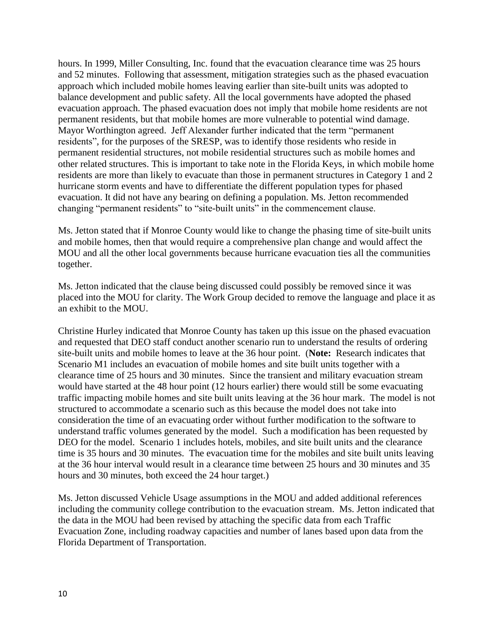hours. In 1999, Miller Consulting, Inc. found that the evacuation clearance time was 25 hours and 52 minutes. Following that assessment, mitigation strategies such as the phased evacuation approach which included mobile homes leaving earlier than site-built units was adopted to balance development and public safety. All the local governments have adopted the phased evacuation approach. The phased evacuation does not imply that mobile home residents are not permanent residents, but that mobile homes are more vulnerable to potential wind damage. Mayor Worthington agreed. Jeff Alexander further indicated that the term "permanent residents", for the purposes of the SRESP, was to identify those residents who reside in permanent residential structures, not mobile residential structures such as mobile homes and other related structures. This is important to take note in the Florida Keys, in which mobile home residents are more than likely to evacuate than those in permanent structures in Category 1 and 2 hurricane storm events and have to differentiate the different population types for phased evacuation. It did not have any bearing on defining a population. Ms. Jetton recommended changing "permanent residents" to "site-built units" in the commencement clause.

Ms. Jetton stated that if Monroe County would like to change the phasing time of site-built units and mobile homes, then that would require a comprehensive plan change and would affect the MOU and all the other local governments because hurricane evacuation ties all the communities together.

Ms. Jetton indicated that the clause being discussed could possibly be removed since it was placed into the MOU for clarity. The Work Group decided to remove the language and place it as an exhibit to the MOU.

Christine Hurley indicated that Monroe County has taken up this issue on the phased evacuation and requested that DEO staff conduct another scenario run to understand the results of ordering site-built units and mobile homes to leave at the 36 hour point. (**Note:** Research indicates that Scenario M1 includes an evacuation of mobile homes and site built units together with a clearance time of 25 hours and 30 minutes. Since the transient and military evacuation stream would have started at the 48 hour point (12 hours earlier) there would still be some evacuating traffic impacting mobile homes and site built units leaving at the 36 hour mark. The model is not structured to accommodate a scenario such as this because the model does not take into consideration the time of an evacuating order without further modification to the software to understand traffic volumes generated by the model. Such a modification has been requested by DEO for the model. Scenario 1 includes hotels, mobiles, and site built units and the clearance time is 35 hours and 30 minutes. The evacuation time for the mobiles and site built units leaving at the 36 hour interval would result in a clearance time between 25 hours and 30 minutes and 35 hours and 30 minutes, both exceed the 24 hour target.)

Ms. Jetton discussed Vehicle Usage assumptions in the MOU and added additional references including the community college contribution to the evacuation stream. Ms. Jetton indicated that the data in the MOU had been revised by attaching the specific data from each Traffic Evacuation Zone, including roadway capacities and number of lanes based upon data from the Florida Department of Transportation.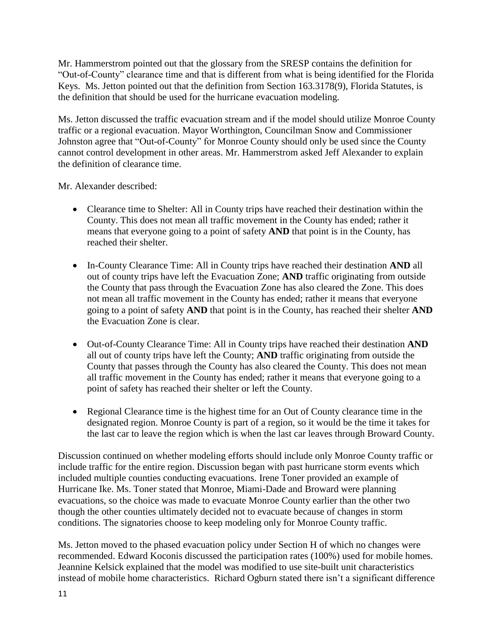Mr. Hammerstrom pointed out that the glossary from the SRESP contains the definition for "Out-of-County" clearance time and that is different from what is being identified for the Florida Keys. Ms. Jetton pointed out that the definition from Section 163.3178(9), Florida Statutes, is the definition that should be used for the hurricane evacuation modeling.

Ms. Jetton discussed the traffic evacuation stream and if the model should utilize Monroe County traffic or a regional evacuation. Mayor Worthington, Councilman Snow and Commissioner Johnston agree that "Out-of-County" for Monroe County should only be used since the County cannot control development in other areas. Mr. Hammerstrom asked Jeff Alexander to explain the definition of clearance time.

Mr. Alexander described:

- Clearance time to Shelter: All in County trips have reached their destination within the County. This does not mean all traffic movement in the County has ended; rather it means that everyone going to a point of safety **AND** that point is in the County, has reached their shelter.
- In-County Clearance Time: All in County trips have reached their destination **AND** all out of county trips have left the Evacuation Zone; **AND** traffic originating from outside the County that pass through the Evacuation Zone has also cleared the Zone. This does not mean all traffic movement in the County has ended; rather it means that everyone going to a point of safety **AND** that point is in the County, has reached their shelter **AND** the Evacuation Zone is clear.
- Out-of-County Clearance Time: All in County trips have reached their destination **AND**  all out of county trips have left the County; **AND** traffic originating from outside the County that passes through the County has also cleared the County. This does not mean all traffic movement in the County has ended; rather it means that everyone going to a point of safety has reached their shelter or left the County.
- Regional Clearance time is the highest time for an Out of County clearance time in the designated region. Monroe County is part of a region, so it would be the time it takes for the last car to leave the region which is when the last car leaves through Broward County.

Discussion continued on whether modeling efforts should include only Monroe County traffic or include traffic for the entire region. Discussion began with past hurricane storm events which included multiple counties conducting evacuations. Irene Toner provided an example of Hurricane Ike. Ms. Toner stated that Monroe, Miami-Dade and Broward were planning evacuations, so the choice was made to evacuate Monroe County earlier than the other two though the other counties ultimately decided not to evacuate because of changes in storm conditions. The signatories choose to keep modeling only for Monroe County traffic.

Ms. Jetton moved to the phased evacuation policy under Section H of which no changes were recommended. Edward Koconis discussed the participation rates (100%) used for mobile homes. Jeannine Kelsick explained that the model was modified to use site-built unit characteristics instead of mobile home characteristics. Richard Ogburn stated there isn't a significant difference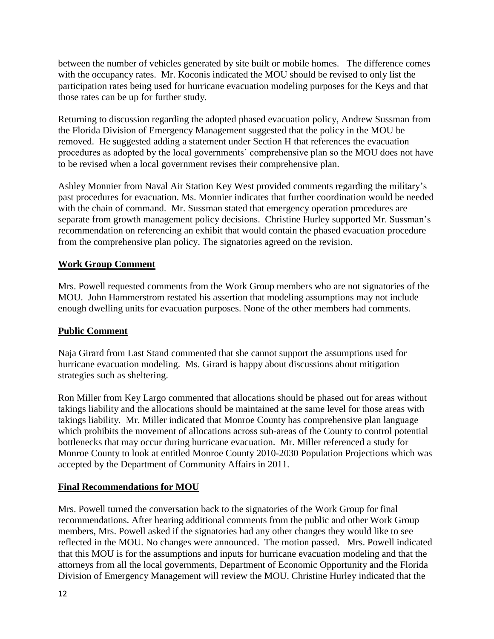between the number of vehicles generated by site built or mobile homes. The difference comes with the occupancy rates. Mr. Koconis indicated the MOU should be revised to only list the participation rates being used for hurricane evacuation modeling purposes for the Keys and that those rates can be up for further study.

Returning to discussion regarding the adopted phased evacuation policy, Andrew Sussman from the Florida Division of Emergency Management suggested that the policy in the MOU be removed. He suggested adding a statement under Section H that references the evacuation procedures as adopted by the local governments' comprehensive plan so the MOU does not have to be revised when a local government revises their comprehensive plan.

Ashley Monnier from Naval Air Station Key West provided comments regarding the military's past procedures for evacuation. Ms. Monnier indicates that further coordination would be needed with the chain of command. Mr. Sussman stated that emergency operation procedures are separate from growth management policy decisions. Christine Hurley supported Mr. Sussman's recommendation on referencing an exhibit that would contain the phased evacuation procedure from the comprehensive plan policy. The signatories agreed on the revision.

# **Work Group Comment**

Mrs. Powell requested comments from the Work Group members who are not signatories of the MOU. John Hammerstrom restated his assertion that modeling assumptions may not include enough dwelling units for evacuation purposes. None of the other members had comments.

## **Public Comment**

Naja Girard from Last Stand commented that she cannot support the assumptions used for hurricane evacuation modeling. Ms. Girard is happy about discussions about mitigation strategies such as sheltering.

Ron Miller from Key Largo commented that allocations should be phased out for areas without takings liability and the allocations should be maintained at the same level for those areas with takings liability. Mr. Miller indicated that Monroe County has comprehensive plan language which prohibits the movement of allocations across sub-areas of the County to control potential bottlenecks that may occur during hurricane evacuation. Mr. Miller referenced a study for Monroe County to look at entitled Monroe County 2010-2030 Population Projections which was accepted by the Department of Community Affairs in 2011.

## **Final Recommendations for MOU**

Mrs. Powell turned the conversation back to the signatories of the Work Group for final recommendations. After hearing additional comments from the public and other Work Group members, Mrs. Powell asked if the signatories had any other changes they would like to see reflected in the MOU. No changes were announced. The motion passed. Mrs. Powell indicated that this MOU is for the assumptions and inputs for hurricane evacuation modeling and that the attorneys from all the local governments, Department of Economic Opportunity and the Florida Division of Emergency Management will review the MOU. Christine Hurley indicated that the